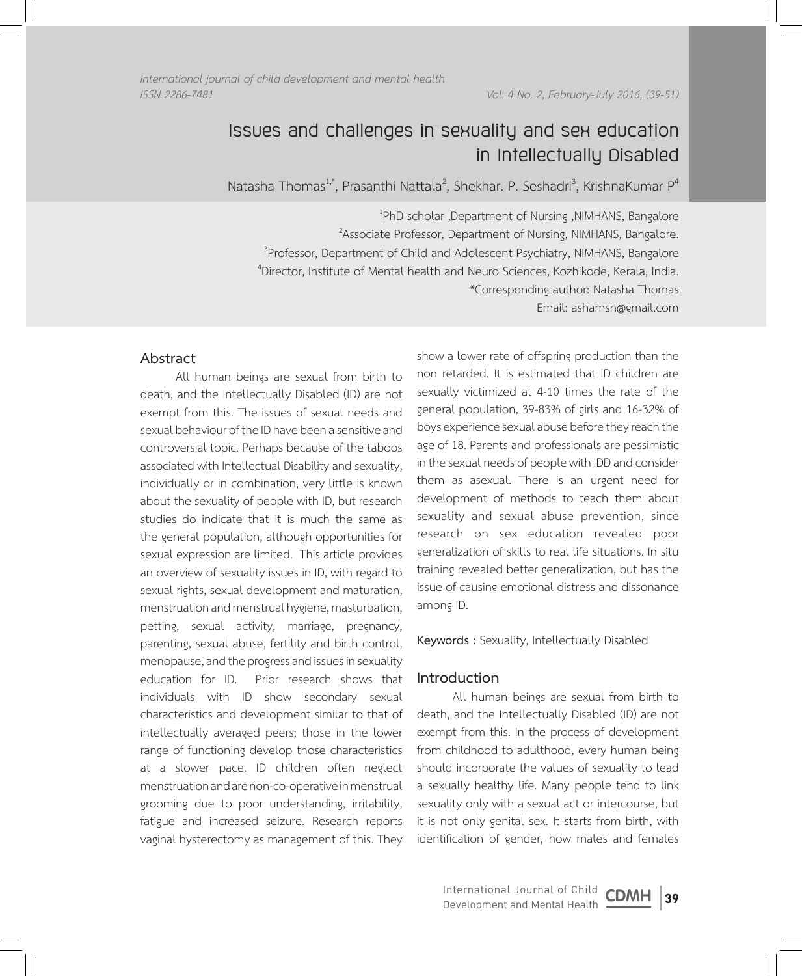*International journal of child development and mental health* 

*ISSN 2286-7481 Vol. 4 No. 2, February-July 2016, (39-51)*

# **Issues and challenges in sexuality and sex education in Intellectually Disabled**

Natasha Thomas<sup>1,\*</sup>, Prasanthi Nattala<sup>2</sup>, Shekhar. P. Seshadri<sup>3</sup>, KrishnaKumar P<sup>4</sup>

 PhD scholar ,Department of Nursing ,NIMHANS, Bangalore Associate Professor, Department of Nursing, NIMHANS, Bangalore. Professor, Department of Child and Adolescent Psychiatry, NIMHANS, Bangalore Director, Institute of Mental health and Neuro Sciences, Kozhikode, Kerala, India. \*Corresponding author: Natasha Thomas Email: ashamsn@gmail.com

# **Abstract**

All human beings are sexual from birth to death, and the Intellectually Disabled (ID) are not exempt from this. The issues of sexual needs and sexual behaviour of the ID have been a sensitive and controversial topic. Perhaps because of the taboos associated with Intellectual Disability and sexuality, individually or in combination, very little is known about the sexuality of people with ID, but research studies do indicate that it is much the same as the general population, although opportunities for sexual expression are limited. This article provides an overview of sexuality issues in ID, with regard to sexual rights, sexual development and maturation, menstruation and menstrual hygiene, masturbation, petting, sexual activity, marriage, pregnancy, parenting, sexual abuse, fertility and birth control, menopause, and the progress and issues in sexuality education for ID. Prior research shows that individuals with ID show secondary sexual characteristics and development similar to that of intellectually averaged peers; those in the lower range of functioning develop those characteristics at a slower pace. ID children often neglect menstruation and are non-co-operative in menstrual grooming due to poor understanding, irritability, fatigue and increased seizure. Research reports vaginal hysterectomy as management of this. They

show a lower rate of offspring production than the non retarded. It is estimated that ID children are sexually victimized at 4-10 times the rate of the general population, 39-83% of girls and 16-32% of boys experience sexual abuse before they reach the age of 18. Parents and professionals are pessimistic in the sexual needs of people with IDD and consider them as asexual. There is an urgent need for development of methods to teach them about sexuality and sexual abuse prevention, since research on sex education revealed poor generalization of skills to real life situations. In situ training revealed better generalization, but has the issue of causing emotional distress and dissonance among ID.

## **Keywords :** Sexuality, Intellectually Disabled

# **Introduction**

All human beings are sexual from birth to death, and the Intellectually Disabled (ID) are not exempt from this. In the process of development from childhood to adulthood, every human being should incorporate the values of sexuality to lead a sexually healthy life. Many people tend to link sexuality only with a sexual act or intercourse, but it is not only genital sex. It starts from birth, with identification of gender, how males and females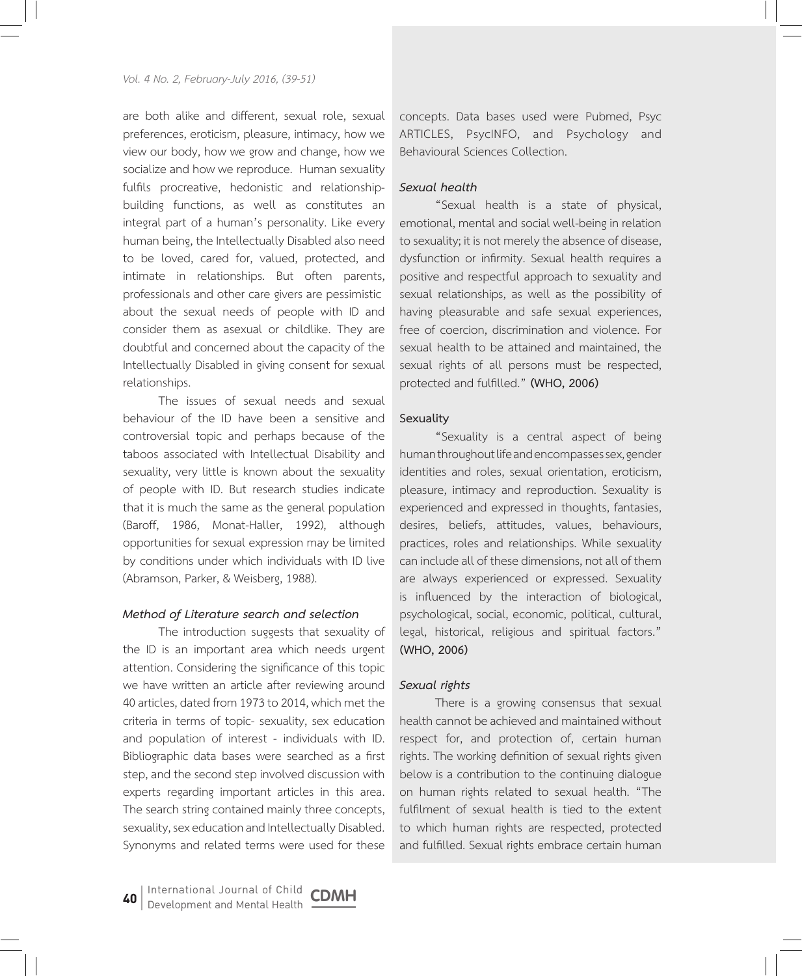are both alike and different, sexual role, sexual preferences, eroticism, pleasure, intimacy, how we view our body, how we grow and change, how we socialize and how we reproduce. Human sexuality fulfils procreative, hedonistic and relationshipbuilding functions, as well as constitutes an integral part of a human's personality. Like every human being, the Intellectually Disabled also need to be loved, cared for, valued, protected, and intimate in relationships. But often parents, professionals and other care givers are pessimistic about the sexual needs of people with ID and consider them as asexual or childlike. They are doubtful and concerned about the capacity of the Intellectually Disabled in giving consent for sexual relationships.

The issues of sexual needs and sexual behaviour of the ID have been a sensitive and controversial topic and perhaps because of the taboos associated with Intellectual Disability and sexuality, very little is known about the sexuality of people with ID. But research studies indicate that it is much the same as the general population (Baroff, 1986, Monat-Haller, 1992), although opportunities for sexual expression may be limited by conditions under which individuals with ID live (Abramson, Parker, & Weisberg, 1988).

#### *Method of Literature search and selection*

The introduction suggests that sexuality of the ID is an important area which needs urgent attention. Considering the significance of this topic we have written an article after reviewing around 40 articles, dated from 1973 to 2014, which met the criteria in terms of topic- sexuality, sex education and population of interest - individuals with ID. Bibliographic data bases were searched as a first step, and the second step involved discussion with experts regarding important articles in this area. The search string contained mainly three concepts, sexuality, sex education and Intellectually Disabled. Synonyms and related terms were used for these

concepts. Data bases used were Pubmed, Psyc ARTICLES, PsycINFO, and Psychology and Behavioural Sciences Collection.

## *Sexual health*

"Sexual health is a state of physical, emotional, mental and social well-being in relation to sexuality; it is not merely the absence of disease, dysfunction or infirmity. Sexual health requires a positive and respectful approach to sexuality and sexual relationships, as well as the possibility of having pleasurable and safe sexual experiences, free of coercion, discrimination and violence. For sexual health to be attained and maintained, the sexual rights of all persons must be respected, protected and fulfilled." **(WHO, 2006)** 

#### **Sexuality**

"Sexuality is a central aspect of being human throughout life and encompasses sex, gender identities and roles, sexual orientation, eroticism, pleasure, intimacy and reproduction. Sexuality is experienced and expressed in thoughts, fantasies, desires, beliefs, attitudes, values, behaviours, practices, roles and relationships. While sexuality can include all of these dimensions, not all of them are always experienced or expressed. Sexuality is influenced by the interaction of biological, psychological, social, economic, political, cultural, legal, historical, religious and spiritual factors." **(WHO, 2006)**

## *Sexual rights*

There is a growing consensus that sexual health cannot be achieved and maintained without respect for, and protection of, certain human rights. The working definition of sexual rights given below is a contribution to the continuing dialogue on human rights related to sexual health. "The fulfilment of sexual health is tied to the extent to which human rights are respected, protected and fulfilled. Sexual rights embrace certain human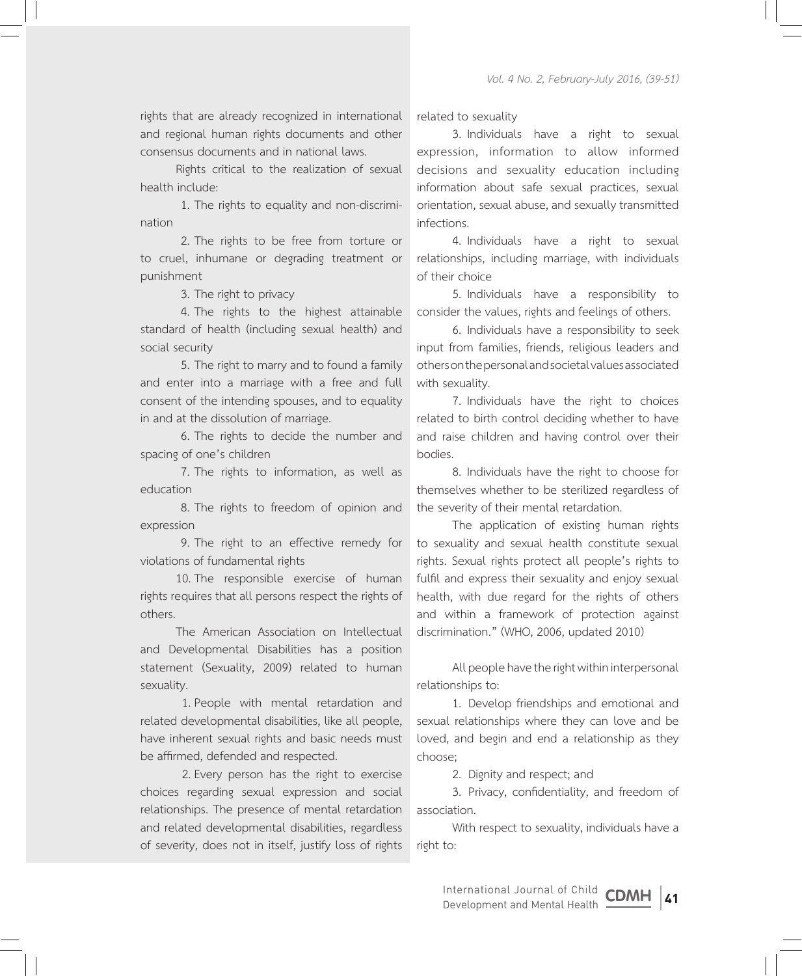rights that are already recognized in international and regional human rights documents and other consensus documents and in national laws.

Rights critical to the realization of sexual health include:

1. The rights to equality and non-discrimination

2. The rights to be free from torture or to cruel, inhumane or degrading treatment or punishment

3. The right to privacy

4. The rights to the highest attainable standard of health (including sexual health) and social security

5. The right to marry and to found a family and enter into a marriage with a free and full consent of the intending spouses, and to equality in and at the dissolution of marriage.

6. The rights to decide the number and spacing of one's children

7. The rights to information, as well as education

8. The rights to freedom of opinion and expression

9. The right to an effective remedy for violations of fundamental rights

10.The responsible exercise of human rights requires that all persons respect the rights of others.

The American Association on Intellectual and Developmental Disabilities has a position statement (Sexuality, 2009) related to human sexuality.

1. People with mental retardation and related developmental disabilities, like all people, have inherent sexual rights and basic needs must be affirmed, defended and respected.

2. Every person has the right to exercise choices regarding sexual expression and social relationships. The presence of mental retardation and related developmental disabilities, regardless of severity, does not in itself, justify loss of rights related to sexuality

3. Individuals have a right to sexual expression, information to allow informed decisions and sexuality education including information about safe sexual practices, sexual orientation, sexual abuse, and sexually transmitted infections.

4. Individuals have a right to sexual relationships, including marriage, with individuals of their choice

5. Individuals have a responsibility to consider the values, rights and feelings of others.

6. Individuals have a responsibility to seek input from families, friends, religious leaders and others on the personal and societal values associated with sexuality.

7. Individuals have the right to choices related to birth control deciding whether to have and raise children and having control over their bodies.

8. Individuals have the right to choose for themselves whether to be sterilized regardless of the severity of their mental retardation.

The application of existing human rights to sexuality and sexual health constitute sexual rights. Sexual rights protect all people's rights to fulfil and express their sexuality and enjoy sexual health, with due regard for the rights of others and within a framework of protection against discrimination." (WHO, 2006, updated 2010)

All people have the right within interpersonal relationships to:

1. Develop friendships and emotional and sexual relationships where they can love and be loved, and begin and end a relationship as they choose;

2. Dignity and respect; and

3. Privacy, confidentiality, and freedom of association.

With respect to sexuality, individuals have a right to: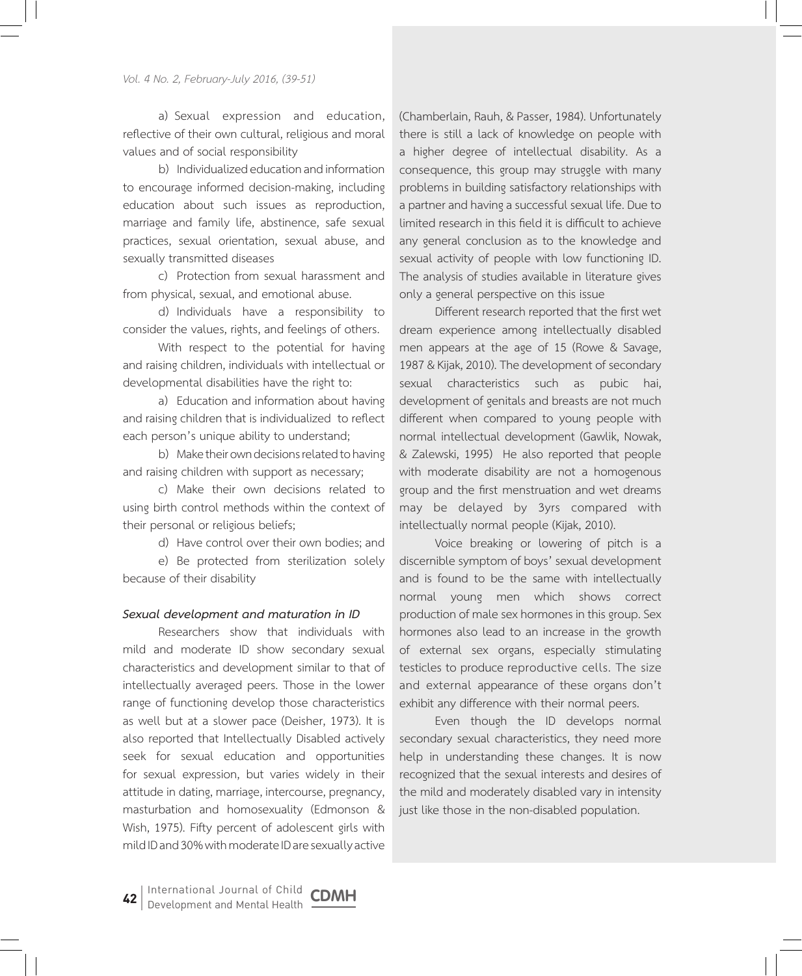a) Sexual expression and education, reflective of their own cultural, religious and moral values and of social responsibility

b) Individualized education and information to encourage informed decision-making, including education about such issues as reproduction, marriage and family life, abstinence, safe sexual practices, sexual orientation, sexual abuse, and sexually transmitted diseases

c) Protection from sexual harassment and from physical, sexual, and emotional abuse.

d) Individuals have a responsibility to consider the values, rights, and feelings of others.

With respect to the potential for having and raising children, individuals with intellectual or developmental disabilities have the right to:

a) Education and information about having and raising children that is individualized to reflect each person's unique ability to understand;

b) Make their own decisions related to having and raising children with support as necessary;

c) Make their own decisions related to using birth control methods within the context of their personal or religious beliefs;

d) Have control over their own bodies; and

e) Be protected from sterilization solely because of their disability

## *Sexual development and maturation in ID*

Researchers show that individuals with mild and moderate ID show secondary sexual characteristics and development similar to that of intellectually averaged peers. Those in the lower range of functioning develop those characteristics as well but at a slower pace (Deisher, 1973). It is also reported that Intellectually Disabled actively seek for sexual education and opportunities for sexual expression, but varies widely in their attitude in dating, marriage, intercourse, pregnancy, masturbation and homosexuality (Edmonson & Wish, 1975). Fifty percent of adolescent girls with mild ID and 30% with moderate ID are sexually active (Chamberlain, Rauh, & Passer, 1984). Unfortunately there is still a lack of knowledge on people with a higher degree of intellectual disability. As a consequence, this group may struggle with many problems in building satisfactory relationships with a partner and having a successful sexual life. Due to limited research in this field it is difficult to achieve any general conclusion as to the knowledge and sexual activity of people with low functioning ID. The analysis of studies available in literature gives only a general perspective on this issue

Different research reported that the first wet dream experience among intellectually disabled men appears at the age of 15 (Rowe & Savage, 1987 & Kijak, 2010). The development of secondary sexual characteristics such as pubic hai, development of genitals and breasts are not much different when compared to young people with normal intellectual development (Gawlik, Nowak, & Zalewski, 1995) He also reported that people with moderate disability are not a homogenous group and the first menstruation and wet dreams may be delayed by 3yrs compared with intellectually normal people (Kijak, 2010).

Voice breaking or lowering of pitch is a discernible symptom of boys' sexual development and is found to be the same with intellectually normal young men which shows correct production of male sex hormones in this group. Sex hormones also lead to an increase in the growth of external sex organs, especially stimulating testicles to produce reproductive cells. The size and external appearance of these organs don't exhibit any difference with their normal peers.

Even though the ID develops normal secondary sexual characteristics, they need more help in understanding these changes. It is now recognized that the sexual interests and desires of the mild and moderately disabled vary in intensity just like those in the non-disabled population.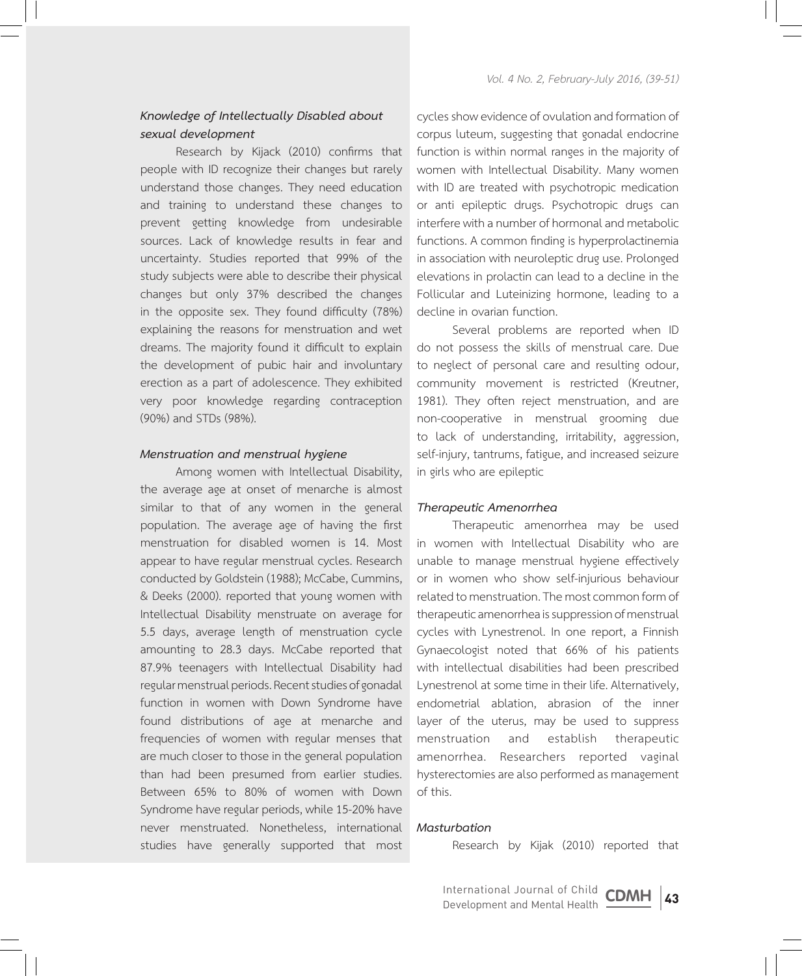# *Knowledge of Intellectually Disabled about sexual development*

Research by Kijack (2010) confirms that people with ID recognize their changes but rarely understand those changes. They need education and training to understand these changes to prevent getting knowledge from undesirable sources. Lack of knowledge results in fear and uncertainty. Studies reported that 99% of the study subjects were able to describe their physical changes but only 37% described the changes in the opposite sex. They found difficulty (78%) explaining the reasons for menstruation and wet dreams. The majority found it difficult to explain the development of pubic hair and involuntary erection as a part of adolescence. They exhibited very poor knowledge regarding contraception (90%) and STDs (98%).

#### *Menstruation and menstrual hygiene*

Among women with Intellectual Disability, the average age at onset of menarche is almost similar to that of any women in the general population. The average age of having the first menstruation for disabled women is 14. Most appear to have regular menstrual cycles. Research conducted by Goldstein (1988); McCabe, Cummins, & Deeks (2000). reported that young women with Intellectual Disability menstruate on average for 5.5 days, average length of menstruation cycle amounting to 28.3 days. McCabe reported that 87.9% teenagers with Intellectual Disability had regular menstrual periods. Recent studies of gonadal function in women with Down Syndrome have found distributions of age at menarche and frequencies of women with regular menses that are much closer to those in the general population than had been presumed from earlier studies. Between 65% to 80% of women with Down Syndrome have regular periods, while 15-20% have never menstruated. Nonetheless, international studies have generally supported that most

cycles show evidence of ovulation and formation of corpus luteum, suggesting that gonadal endocrine function is within normal ranges in the majority of women with Intellectual Disability. Many women with ID are treated with psychotropic medication or anti epileptic drugs. Psychotropic drugs can interfere with a number of hormonal and metabolic functions. A common finding is hyperprolactinemia in association with neuroleptic drug use. Prolonged elevations in prolactin can lead to a decline in the Follicular and Luteinizing hormone, leading to a decline in ovarian function.

Several problems are reported when ID do not possess the skills of menstrual care. Due to neglect of personal care and resulting odour, community movement is restricted (Kreutner, 1981). They often reject menstruation, and are non-cooperative in menstrual grooming due to lack of understanding, irritability, aggression, self-injury, tantrums, fatigue, and increased seizure in girls who are epileptic

#### *Therapeutic Amenorrhea*

Therapeutic amenorrhea may be used in women with Intellectual Disability who are unable to manage menstrual hygiene effectively or in women who show self-injurious behaviour related to menstruation. The most common form of therapeutic amenorrhea is suppression of menstrual cycles with Lynestrenol. In one report, a Finnish Gynaecologist noted that 66% of his patients with intellectual disabilities had been prescribed Lynestrenol at some time in their life. Alternatively, endometrial ablation, abrasion of the inner layer of the uterus, may be used to suppress menstruation and establish therapeutic amenorrhea. Researchers reported vaginal hysterectomies are also performed as management of this.

## *Masturbation*

Research by Kijak (2010) reported that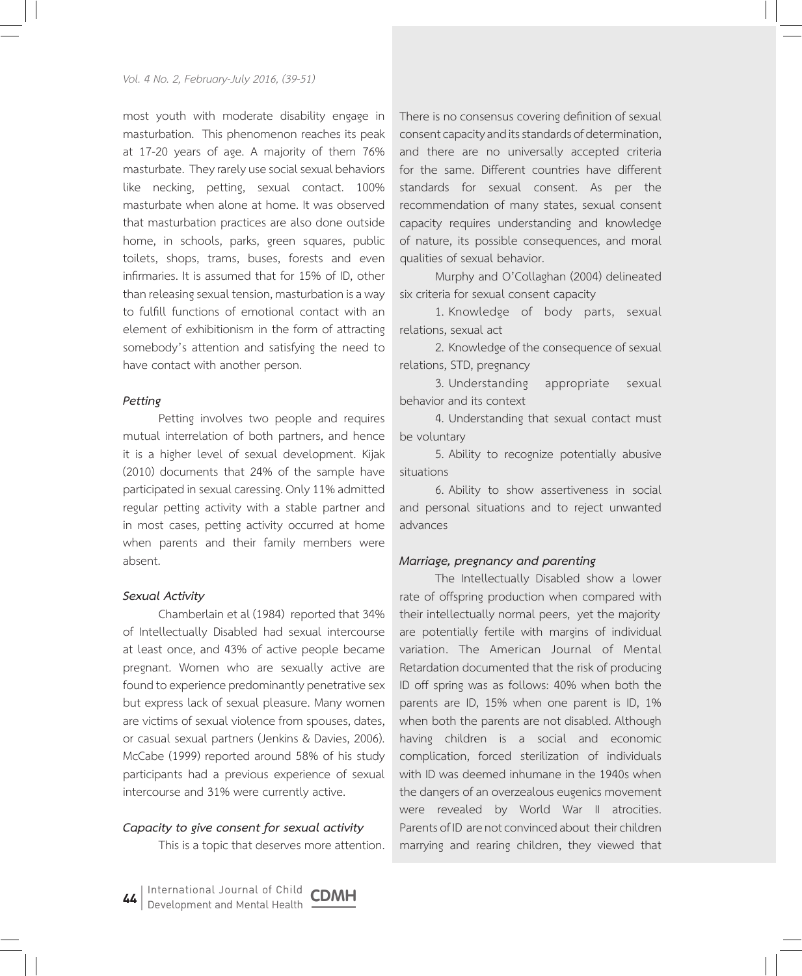most youth with moderate disability engage in masturbation. This phenomenon reaches its peak at 17-20 years of age. A majority of them 76% masturbate. They rarely use social sexual behaviors like necking, petting, sexual contact. 100% masturbate when alone at home. It was observed that masturbation practices are also done outside home, in schools, parks, green squares, public toilets, shops, trams, buses, forests and even infirmaries. It is assumed that for 15% of ID, other than releasing sexual tension, masturbation is a way to fulfill functions of emotional contact with an element of exhibitionism in the form of attracting somebody's attention and satisfying the need to have contact with another person.

#### *Petting*

Petting involves two people and requires mutual interrelation of both partners, and hence it is a higher level of sexual development. Kijak (2010) documents that 24% of the sample have participated in sexual caressing. Only 11% admitted regular petting activity with a stable partner and in most cases, petting activity occurred at home when parents and their family members were absent.

#### *Sexual Activity*

Chamberlain et al (1984) reported that 34% of Intellectually Disabled had sexual intercourse at least once, and 43% of active people became pregnant. Women who are sexually active are found to experience predominantly penetrative sex but express lack of sexual pleasure. Many women are victims of sexual violence from spouses, dates, or casual sexual partners (Jenkins & Davies, 2006). McCabe (1999) reported around 58% of his study participants had a previous experience of sexual intercourse and 31% were currently active.

#### *Capacity to give consent for sexual activity*

This is a topic that deserves more attention.

There is no consensus covering definition of sexual consent capacity and its standards of determination, and there are no universally accepted criteria for the same. Different countries have different standards for sexual consent. As per the recommendation of many states, sexual consent capacity requires understanding and knowledge of nature, its possible consequences, and moral qualities of sexual behavior.

Murphy and O'Collaghan (2004) delineated six criteria for sexual consent capacity

1. Knowledge of body parts, sexual relations, sexual act

2. Knowledge of the consequence of sexual relations, STD, pregnancy

3. Understanding appropriate sexual behavior and its context

4. Understanding that sexual contact must be voluntary

5. Ability to recognize potentially abusive situations

6. Ability to show assertiveness in social and personal situations and to reject unwanted advances

#### *Marriage, pregnancy and parenting*

The Intellectually Disabled show a lower rate of offspring production when compared with their intellectually normal peers, yet the majority are potentially fertile with margins of individual variation. The American Journal of Mental Retardation documented that the risk of producing ID off spring was as follows: 40% when both the parents are ID, 15% when one parent is ID, 1% when both the parents are not disabled. Although having children is a social and economic complication, forced sterilization of individuals with ID was deemed inhumane in the 1940s when the dangers of an overzealous eugenics movement were revealed by World War II atrocities. Parents of ID are not convinced about their children marrying and rearing children, they viewed that

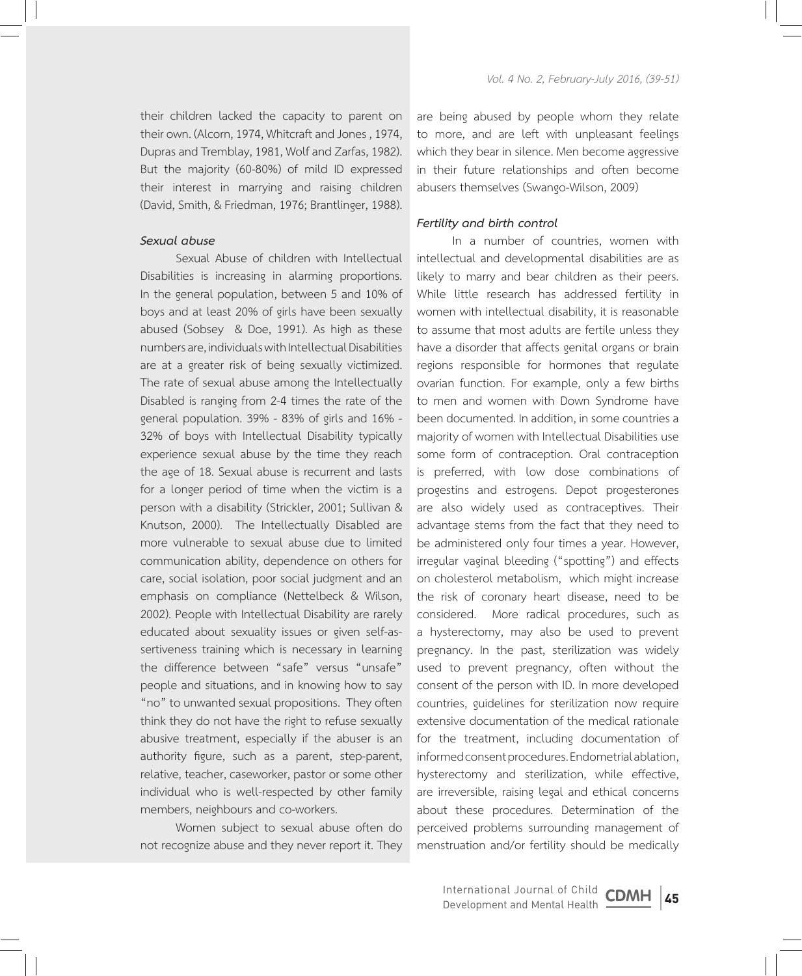their children lacked the capacity to parent on their own. (Alcorn, 1974, Whitcraft and Jones , 1974, Dupras and Tremblay, 1981, Wolf and Zarfas, 1982). But the majority (60-80%) of mild ID expressed their interest in marrying and raising children (David, Smith, & Friedman, 1976; Brantlinger, 1988).

## *Sexual abuse*

Sexual Abuse of children with Intellectual Disabilities is increasing in alarming proportions. In the general population, between 5 and 10% of boys and at least 20% of girls have been sexually abused (Sobsey & Doe, 1991). As high as these numbers are, individuals with Intellectual Disabilities are at a greater risk of being sexually victimized. The rate of sexual abuse among the Intellectually Disabled is ranging from 2-4 times the rate of the general population. 39% - 83% of girls and 16% - 32% of boys with Intellectual Disability typically experience sexual abuse by the time they reach the age of 18. Sexual abuse is recurrent and lasts for a longer period of time when the victim is a person with a disability (Strickler, 2001; Sullivan & Knutson, 2000). The Intellectually Disabled are more vulnerable to sexual abuse due to limited communication ability, dependence on others for care, social isolation, poor social judgment and an emphasis on compliance (Nettelbeck & Wilson, 2002). People with Intellectual Disability are rarely educated about sexuality issues or given self-assertiveness training which is necessary in learning the difference between "safe" versus "unsafe" people and situations, and in knowing how to say "no" to unwanted sexual propositions. They often think they do not have the right to refuse sexually abusive treatment, especially if the abuser is an authority figure, such as a parent, step-parent, relative, teacher, caseworker, pastor or some other individual who is well-respected by other family members, neighbours and co-workers.

Women subject to sexual abuse often do not recognize abuse and they never report it. They

are being abused by people whom they relate to more, and are left with unpleasant feelings which they bear in silence. Men become aggressive in their future relationships and often become abusers themselves (Swango-Wilson, 2009)

#### *Fertility and birth control*

In a number of countries, women with intellectual and developmental disabilities are as likely to marry and bear children as their peers. While little research has addressed fertility in women with intellectual disability, it is reasonable to assume that most adults are fertile unless they have a disorder that affects genital organs or brain regions responsible for hormones that regulate ovarian function. For example, only a few births to men and women with Down Syndrome have been documented. In addition, in some countries a majority of women with Intellectual Disabilities use some form of contraception. Oral contraception is preferred, with low dose combinations of progestins and estrogens. Depot progesterones are also widely used as contraceptives. Their advantage stems from the fact that they need to be administered only four times a year. However, irregular vaginal bleeding ("spotting") and effects on cholesterol metabolism, which might increase the risk of coronary heart disease, need to be considered. More radical procedures, such as a hysterectomy, may also be used to prevent pregnancy. In the past, sterilization was widely used to prevent pregnancy, often without the consent of the person with ID. In more developed countries, guidelines for sterilization now require extensive documentation of the medical rationale for the treatment, including documentation of informed consent procedures. Endometrial ablation, hysterectomy and sterilization, while effective, are irreversible, raising legal and ethical concerns about these procedures. Determination of the perceived problems surrounding management of menstruation and/or fertility should be medically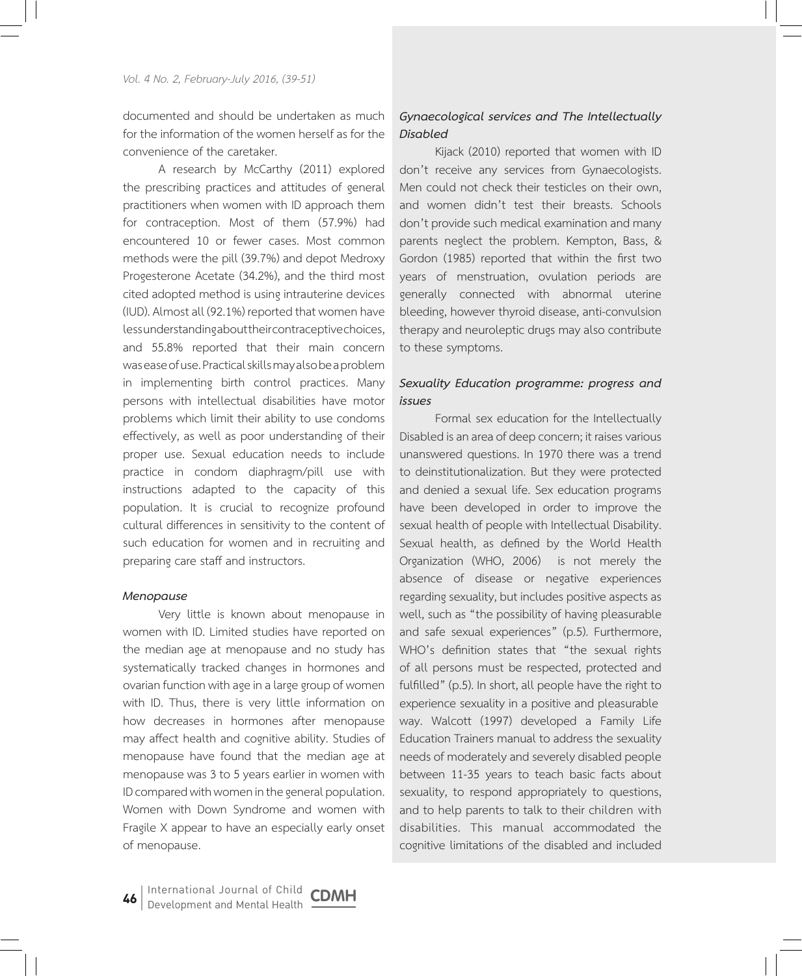documented and should be undertaken as much for the information of the women herself as for the convenience of the caretaker.

A research by McCarthy (2011) explored the prescribing practices and attitudes of general practitioners when women with ID approach them for contraception. Most of them (57.9%) had encountered 10 or fewer cases. Most common methods were the pill (39.7%) and depot Medroxy Progesterone Acetate (34.2%), and the third most cited adopted method is using intrauterine devices (IUD). Almost all (92.1%) reported that women have less understanding about their contraceptive choices, and 55.8% reported that their main concern was ease of use. Practical skills may also be a problem in implementing birth control practices. Many persons with intellectual disabilities have motor problems which limit their ability to use condoms effectively, as well as poor understanding of their proper use. Sexual education needs to include practice in condom diaphragm/pill use with instructions adapted to the capacity of this population. It is crucial to recognize profound cultural differences in sensitivity to the content of such education for women and in recruiting and preparing care staff and instructors.

#### *Menopause*

Very little is known about menopause in women with ID. Limited studies have reported on the median age at menopause and no study has systematically tracked changes in hormones and ovarian function with age in a large group of women with ID. Thus, there is very little information on how decreases in hormones after menopause may affect health and cognitive ability. Studies of menopause have found that the median age at menopause was 3 to 5 years earlier in women with ID compared with women in the general population. Women with Down Syndrome and women with Fragile X appear to have an especially early onset of menopause.

# *Gynaecological services and The Intellectually Disabled*

Kijack (2010) reported that women with ID don't receive any services from Gynaecologists. Men could not check their testicles on their own, and women didn't test their breasts. Schools don't provide such medical examination and many parents neglect the problem. Kempton, Bass, & Gordon (1985) reported that within the first two years of menstruation, ovulation periods are generally connected with abnormal uterine bleeding, however thyroid disease, anti-convulsion therapy and neuroleptic drugs may also contribute to these symptoms.

# *Sexuality Education programme: progress and issues*

Formal sex education for the Intellectually Disabled is an area of deep concern; it raises various unanswered questions. In 1970 there was a trend to deinstitutionalization. But they were protected and denied a sexual life. Sex education programs have been developed in order to improve the sexual health of people with Intellectual Disability. Sexual health, as defined by the World Health Organization (WHO, 2006) is not merely the absence of disease or negative experiences regarding sexuality, but includes positive aspects as well, such as "the possibility of having pleasurable and safe sexual experiences" (p.5). Furthermore, WHO's definition states that "the sexual rights of all persons must be respected, protected and fulfilled" (p.5). In short, all people have the right to experience sexuality in a positive and pleasurable way. Walcott (1997) developed a Family Life Education Trainers manual to address the sexuality needs of moderately and severely disabled people between 11-35 years to teach basic facts about sexuality, to respond appropriately to questions, and to help parents to talk to their children with disabilities. This manual accommodated the cognitive limitations of the disabled and included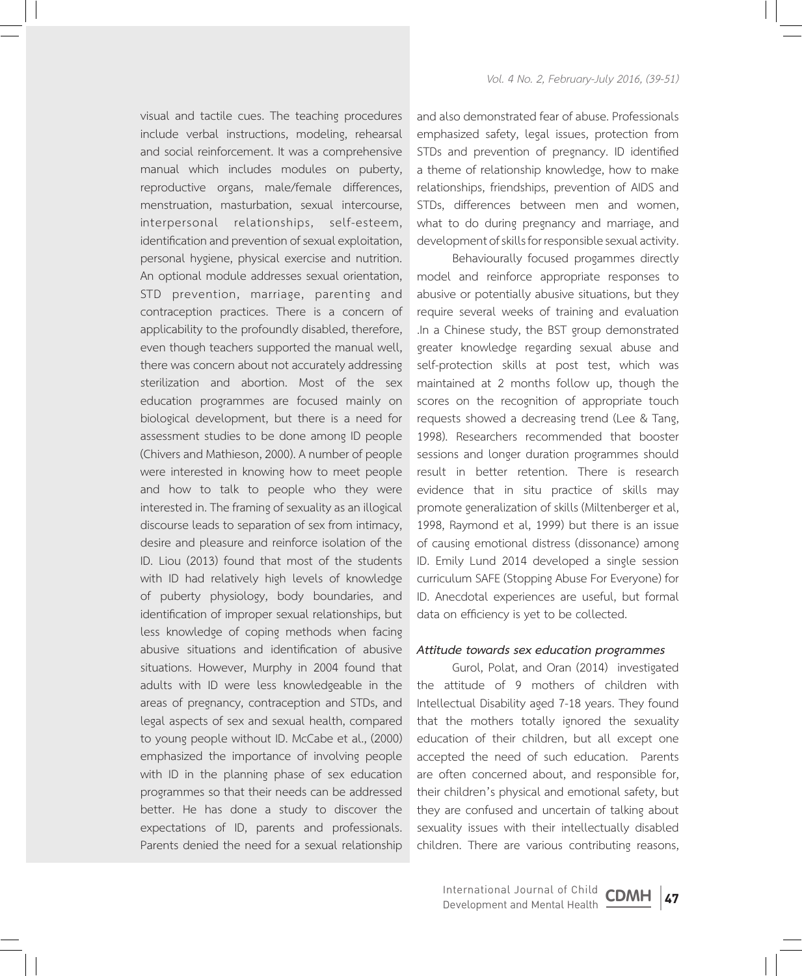visual and tactile cues. The teaching procedures include verbal instructions, modeling, rehearsal and social reinforcement. It was a comprehensive manual which includes modules on puberty, reproductive organs, male/female differences, menstruation, masturbation, sexual intercourse, interpersonal relationships, self-esteem, identification and prevention of sexual exploitation, personal hygiene, physical exercise and nutrition. An optional module addresses sexual orientation, STD prevention, marriage, parenting and contraception practices. There is a concern of applicability to the profoundly disabled, therefore, even though teachers supported the manual well, there was concern about not accurately addressing sterilization and abortion. Most of the sex education programmes are focused mainly on biological development, but there is a need for assessment studies to be done among ID people (Chivers and Mathieson, 2000). A number of people were interested in knowing how to meet people and how to talk to people who they were interested in. The framing of sexuality as an illogical discourse leads to separation of sex from intimacy, desire and pleasure and reinforce isolation of the ID. Liou (2013) found that most of the students with ID had relatively high levels of knowledge of puberty physiology, body boundaries, and identification of improper sexual relationships, but less knowledge of coping methods when facing abusive situations and identification of abusive situations. However, Murphy in 2004 found that adults with ID were less knowledgeable in the areas of pregnancy, contraception and STDs, and legal aspects of sex and sexual health, compared to young people without ID. McCabe et al., (2000) emphasized the importance of involving people with ID in the planning phase of sex education programmes so that their needs can be addressed better. He has done a study to discover the expectations of ID, parents and professionals. Parents denied the need for a sexual relationship

and also demonstrated fear of abuse. Professionals emphasized safety, legal issues, protection from STDs and prevention of pregnancy. ID identified a theme of relationship knowledge, how to make relationships, friendships, prevention of AIDS and STDs, differences between men and women, what to do during pregnancy and marriage, and development of skills for responsible sexual activity.

Behaviourally focused progammes directly model and reinforce appropriate responses to abusive or potentially abusive situations, but they require several weeks of training and evaluation .In a Chinese study, the BST group demonstrated greater knowledge regarding sexual abuse and self-protection skills at post test, which was maintained at 2 months follow up, though the scores on the recognition of appropriate touch requests showed a decreasing trend (Lee & Tang, 1998). Researchers recommended that booster sessions and longer duration programmes should result in better retention. There is research evidence that in situ practice of skills may promote generalization of skills (Miltenberger et al, 1998, Raymond et al, 1999) but there is an issue of causing emotional distress (dissonance) among ID. Emily Lund 2014 developed a single session curriculum SAFE (Stopping Abuse For Everyone) for ID. Anecdotal experiences are useful, but formal data on efficiency is yet to be collected.

#### *Attitude towards sex education programmes*

Gurol, Polat, and Oran (2014) investigated the attitude of 9 mothers of children with Intellectual Disability aged 7-18 years. They found that the mothers totally ignored the sexuality education of their children, but all except one accepted the need of such education. Parents are often concerned about, and responsible for, their children's physical and emotional safety, but they are confused and uncertain of talking about sexuality issues with their intellectually disabled children. There are various contributing reasons,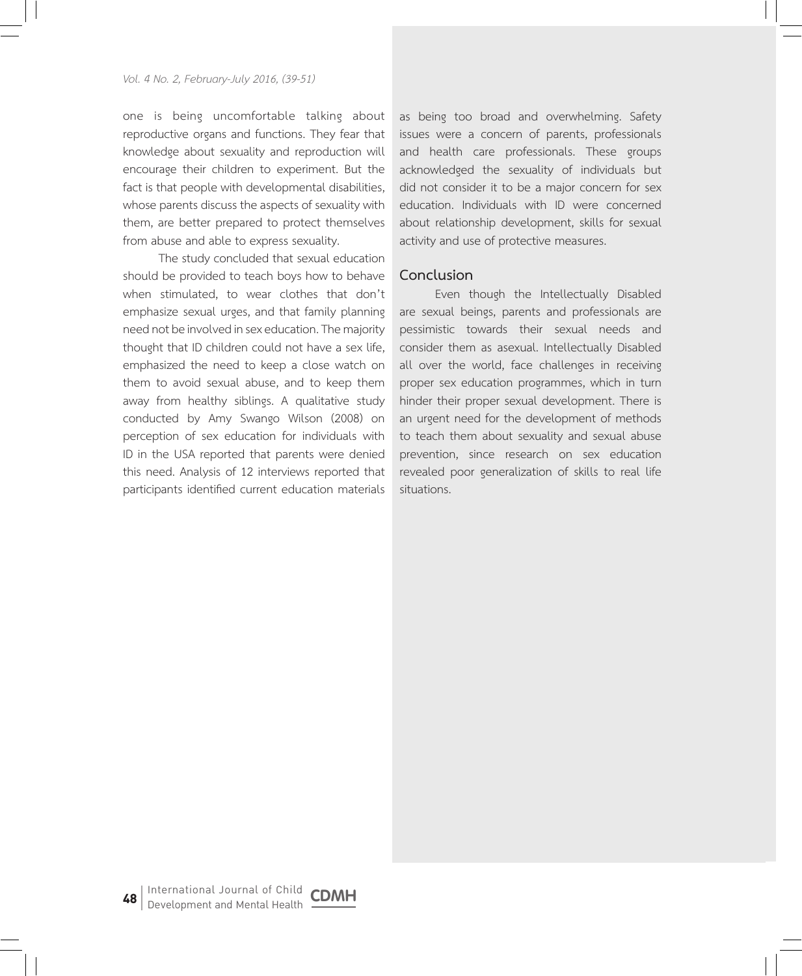one is being uncomfortable talking about reproductive organs and functions. They fear that knowledge about sexuality and reproduction will encourage their children to experiment. But the fact is that people with developmental disabilities, whose parents discuss the aspects of sexuality with them, are better prepared to protect themselves from abuse and able to express sexuality.

The study concluded that sexual education should be provided to teach boys how to behave when stimulated, to wear clothes that don't emphasize sexual urges, and that family planning need not be involved in sex education. The majority thought that ID children could not have a sex life, emphasized the need to keep a close watch on them to avoid sexual abuse, and to keep them away from healthy siblings. A qualitative study conducted by Amy Swango Wilson (2008) on perception of sex education for individuals with ID in the USA reported that parents were denied this need. Analysis of 12 interviews reported that participants identified current education materials

as being too broad and overwhelming. Safety issues were a concern of parents, professionals and health care professionals. These groups acknowledged the sexuality of individuals but did not consider it to be a major concern for sex education. Individuals with ID were concerned about relationship development, skills for sexual activity and use of protective measures.

# **Conclusion**

Even though the Intellectually Disabled are sexual beings, parents and professionals are pessimistic towards their sexual needs and consider them as asexual. Intellectually Disabled all over the world, face challenges in receiving proper sex education programmes, which in turn hinder their proper sexual development. There is an urgent need for the development of methods to teach them about sexuality and sexual abuse prevention, since research on sex education revealed poor generalization of skills to real life situations.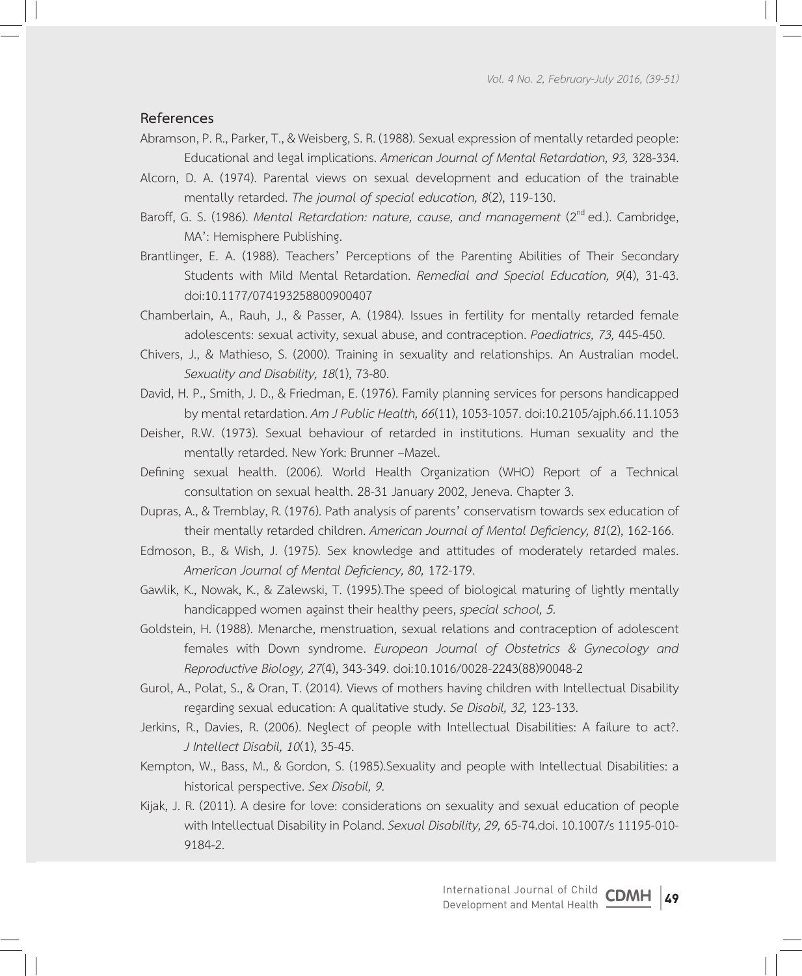# **References**

- Abramson, P. R., Parker, T., & Weisberg, S. R. (1988). Sexual expression of mentally retarded people: Educational and legal implications. *American Journal of Mental Retardation, 93,* 328-334.
- Alcorn, D. A. (1974). Parental views on sexual development and education of the trainable mentally retarded. *The journal of special education, 8*(2), 119-130.
- Baroff, G. S. (1986). *Mental Retardation: nature, cause, and management* (2<sup>nd</sup> ed.). Cambridge, MA': Hemisphere Publishing.
- Brantlinger, E. A. (1988). Teachers' Perceptions of the Parenting Abilities of Their Secondary Students with Mild Mental Retardation. *Remedial and Special Education, 9*(4), 31-43. doi:10.1177/074193258800900407
- Chamberlain, A., Rauh, J., & Passer, A. (1984). Issues in fertility for mentally retarded female adolescents: sexual activity, sexual abuse, and contraception. *Paediatrics, 73,* 445-450.
- Chivers, J., & Mathieso, S. (2000). Training in sexuality and relationships. An Australian model. *Sexuality and Disability, 18*(1), 73-80.
- David, H. P., Smith, J. D., & Friedman, E. (1976). Family planning services for persons handicapped by mental retardation. *Am J Public Health, 66*(11), 1053-1057. doi:10.2105/ajph.66.11.1053
- Deisher, R.W. (1973). Sexual behaviour of retarded in institutions. Human sexuality and the mentally retarded. New York: Brunner –Mazel.
- Defining sexual health. (2006). World Health Organization (WHO) Report of a Technical consultation on sexual health. 28-31 January 2002, Jeneva. Chapter 3.
- Dupras, A., & Tremblay, R. (1976). Path analysis of parents' conservatism towards sex education of their mentally retarded children. *American Journal of Mental Deficiency, 81*(2), 162-166.
- Edmoson, B., & Wish, J. (1975). Sex knowledge and attitudes of moderately retarded males. *American Journal of Mental Deficiency, 80,* 172-179.
- Gawlik, K., Nowak, K., & Zalewski, T. (1995).The speed of biological maturing of lightly mentally handicapped women against their healthy peers, *special school, 5.*
- Goldstein, H. (1988). Menarche, menstruation, sexual relations and contraception of adolescent females with Down syndrome. *European Journal of Obstetrics & Gynecology and Reproductive Biology, 27*(4), 343-349. doi:10.1016/0028-2243(88)90048-2
- Gurol, A., Polat, S., & Oran, T. (2014). Views of mothers having children with Intellectual Disability regarding sexual education: A qualitative study. *Se Disabil, 32,* 123-133.
- Jerkins, R., Davies, R. (2006). Neglect of people with Intellectual Disabilities: A failure to act?. *J Intellect Disabil, 10*(1), 35-45.
- Kempton, W., Bass, M., & Gordon, S. (1985).Sexuality and people with Intellectual Disabilities: a historical perspective. *Sex Disabil, 9.*
- Kijak, J. R. (2011). A desire for love: considerations on sexuality and sexual education of people with Intellectual Disability in Poland. *Sexual Disability, 29,* 65-74.doi. 10.1007/s 11195-010- 9184-2.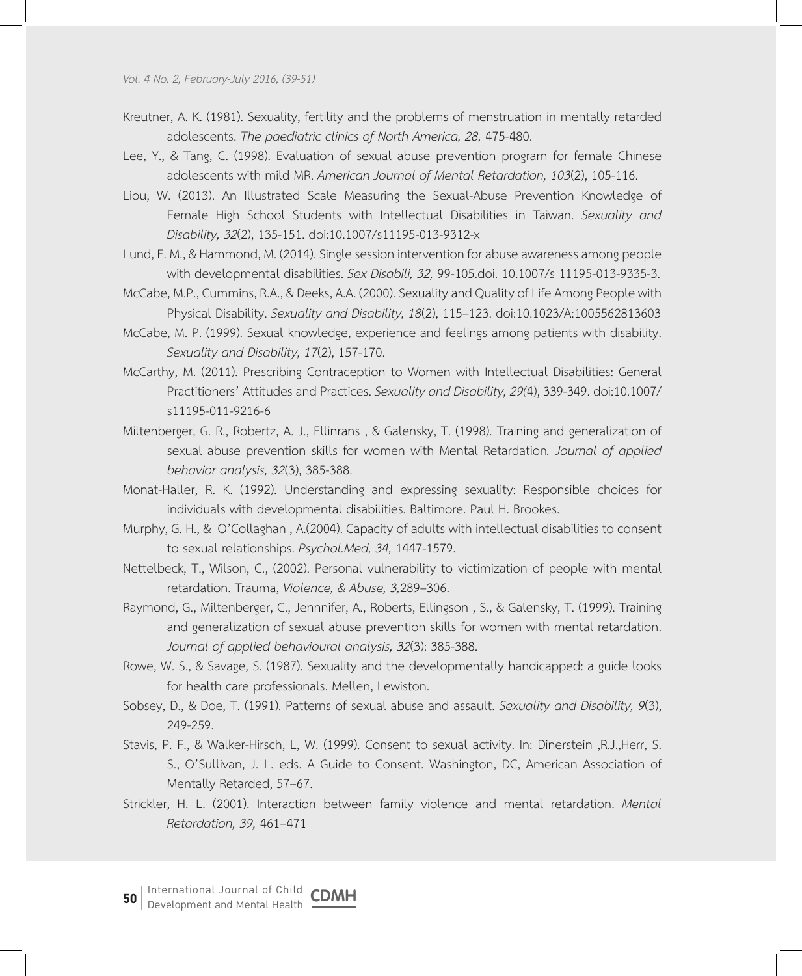*Vol. 4 No. 2, February-July 2016, (39-51)*

- Kreutner, A. K. (1981). Sexuality, fertility and the problems of menstruation in mentally retarded adolescents. *The paediatric clinics of North America, 28,* 475-480.
- Lee, Y., & Tang, C. (1998). Evaluation of sexual abuse prevention program for female Chinese adolescents with mild MR. *American Journal of Mental Retardation, 103*(2), 105-116.
- Liou, W. (2013). An Illustrated Scale Measuring the Sexual-Abuse Prevention Knowledge of Female High School Students with Intellectual Disabilities in Taiwan. *Sexuality and Disability, 32*(2), 135-151. doi:10.1007/s11195-013-9312-x
- Lund, E. M., & Hammond, M. (2014). Single session intervention for abuse awareness among people with developmental disabilities. *Sex Disabili, 32,* 99-105.doi. 10.1007/s 11195-013-9335-3.
- McCabe, M.P., Cummins, R.A., & Deeks, A.A. (2000). Sexuality and Quality of Life Among People with Physical Disability. *Sexuality and Disability, 18*(2), 115–123. doi:10.1023/A:1005562813603
- McCabe, M. P. (1999). Sexual knowledge, experience and feelings among patients with disability. *Sexuality and Disability, 17*(2), 157-170.
- McCarthy, M. (2011). Prescribing Contraception to Women with Intellectual Disabilities: General Practitioners' Attitudes and Practices. *Sexuality and Disability, 29(*4), 339-349. doi:10.1007/ s11195-011-9216-6
- Miltenberger, G. R., Robertz, A. J., Ellinrans , & Galensky, T. (1998). Training and generalization of sexual abuse prevention skills for women with Mental Retardation*. Journal of applied behavior analysis, 32*(3), 385-388.
- Monat-Haller, R. K. (1992). Understanding and expressing sexuality: Responsible choices for individuals with developmental disabilities. Baltimore. Paul H. Brookes.
- Murphy, G. H., & O'Collaghan , A.(2004). Capacity of adults with intellectual disabilities to consent to sexual relationships. *Psychol.Med, 34,* 1447-1579.
- Nettelbeck, T., Wilson, C., (2002). Personal vulnerability to victimization of people with mental retardation. Trauma, *Violence, & Abuse, 3,*289–306.
- Raymond, G., Miltenberger, C., Jennnifer, A., Roberts, Ellingson , S., & Galensky, T. (1999). Training and generalization of sexual abuse prevention skills for women with mental retardation. *Journal of applied behavioural analysis, 32*(3): 385-388.
- Rowe, W. S., & Savage, S. (1987). Sexuality and the developmentally handicapped: a guide looks for health care professionals. Mellen, Lewiston.
- Sobsey, D., & Doe, T. (1991). Patterns of sexual abuse and assault. *Sexuality and Disability, 9*(3), 249-259.
- Stavis, P. F., & Walker-Hirsch, L, W. (1999). Consent to sexual activity. In: Dinerstein ,R.J.,Herr, S. S., O'Sullivan, J. L. eds. A Guide to Consent. Washington, DC, American Association of Mentally Retarded, 57–67.
- Strickler, H. L. (2001). Interaction between family violence and mental retardation. *Mental Retardation, 39,* 461–471